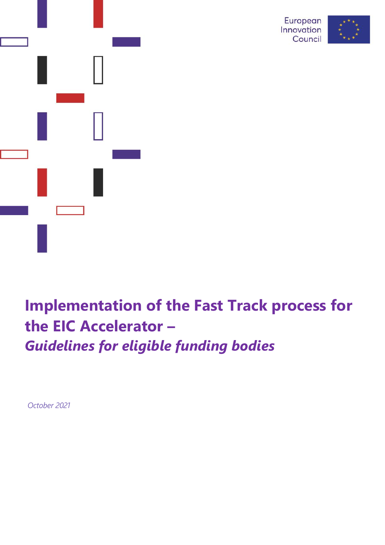



# **Implementation of the Fast Track process for the EIC Accelerator –** *Guidelines for eligible funding bodies*

*October 2021*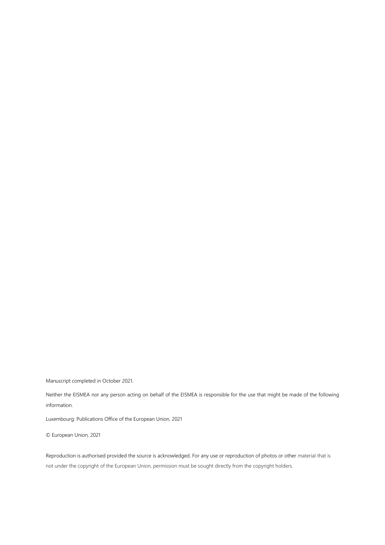Manuscript completed in October 2021.

Neither the EISMEA nor any person acting on behalf of the EISMEA is responsible for the use that might be made of the following information.

Luxembourg: Publications Office of the European Union, 2021

© European Union, 2021

Reproduction is authorised provided the source is acknowledged. For any use or reproduction of photos or other material that is not under the copyright of the European Union, permission must be sought directly from the copyright holders.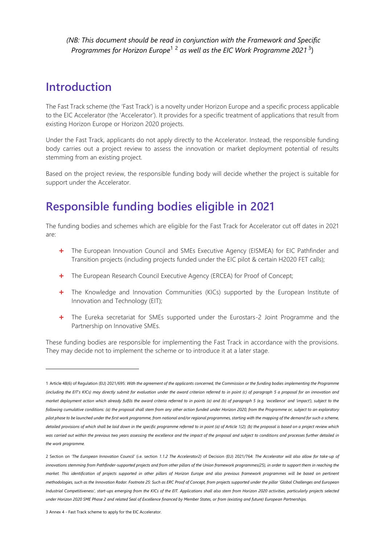*(NB: This document should be read in conjunction with the Framework and Specific Programmes for Horizon Europe*<sup>1</sup> <sup>2</sup> *as well as the EIC Work Programme 2021* <sup>3</sup> )

### **Introduction**

The Fast Track scheme (the 'Fast Track') is a novelty under Horizon Europe and a specific process applicable to the EIC Accelerator (the 'Accelerator'). It provides for a specific treatment of applications that result from existing Horizon Europe or Horizon 2020 projects.

Under the Fast Track, applicants do not apply directly to the Accelerator. Instead, the responsible funding body carries out a project review to assess the innovation or market deployment potential of results stemming from an existing project.

Based on the project review, the responsible funding body will decide whether the project is suitable for support under the Accelerator.

## **Responsible funding bodies eligible in 2021**

The funding bodies and schemes which are eligible for the Fast Track for Accelerator cut off dates in 2021 are:

- **+** The European Innovation Council and SMEs Executive Agency (EISMEA) for EIC Pathfinder and Transition projects (including projects funded under the EIC pilot & certain H2020 FET calls);
- The European Research Council Executive Agency (ERCEA) for Proof of Concept;
- **+** The Knowledge and Innovation Communities (KICs) supported by the European Institute of Innovation and Technology (EIT);
- **+** The Eureka secretariat for SMEs supported under the Eurostars-2 Joint Programme and the Partnership on Innovative SMEs.

These funding bodies are responsible for implementing the Fast Track in accordance with the provisions. They may decide not to implement the scheme or to introduce it at a later stage.

 $\overline{a}$ 

<sup>1</sup> Article 48(6) of Regulation (EU) 2021/695: *With the agreement of the applicants concerned, the Commission or the funding bodies implementing the Programme (including the EIT's KICs) may directly submit for evaluation under the award criterion referred to in point (c) of paragraph 5 a proposal for an innovation and market deployment action which already fulfils the award criteria referred to in points (a) and (b) of paragraph 5 (e.g. 'excellence' and 'impact'), subject to the following cumulative conditions: (a) the proposal shall stem from any other action funded under Horizon 2020, from the Programme or, subject to an exploratory pilot phase to be launched under the first work programme, from national and/or regional programmes, starting with the mapping of the demand for such a scheme, detailed provisions of which shall be laid down in the specific programme referred to in point (a) of Article 1(2); (b) the proposal is based on a project review which was carried out within the previous two years assessing the excellence and the impact of the proposal and subject to conditions and processes further detailed in the work programme.*

<sup>2</sup> Section on *'The European Innovation Council'* (i.e. section *1.1.2 The Accelerator2)* of Decision (EU) 2021/764: *The Accelerator will also allow for take-up of*  innovations stemming from Pathfinder-supported projects and from other pillars of the Union framework programmes(25), in order to support them in reaching the *market. This identification of projects supported in other pillars of Horizon Europe and also previous framework programmes will be based on pertinent methodologies, such as the Innovation Radar. Footnote 25: Such as ERC Proof of Concept, from projects supported under the pillar 'Global Challenges and European Industrial Competitiveness', start-ups emerging from the KICs of the EIT. Applications shall also stem from Horizon 2020 activities, particularly projects selected under Horizon 2020 SME Phase 2 and related Seal of Excellence financed by Member States, or from (existing and future) European Partnerships.*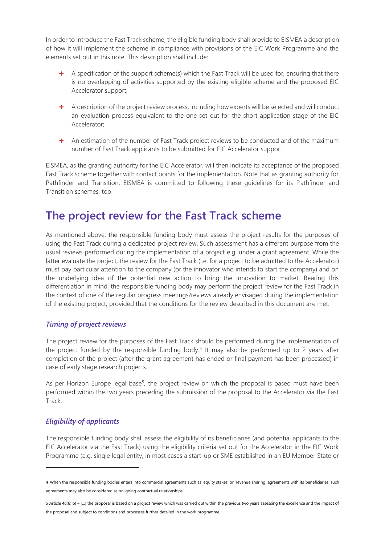In order to introduce the Fast Track scheme, the eligible funding body shall provide to EISMEA a description of how it will implement the scheme in compliance with provisions of the EIC Work Programme and the elements set out in this note. This description shall include:

- **+** A specification of the support scheme(s) which the Fast Track will be used for, ensuring that there is no overlapping of activities supported by the existing eligible scheme and the proposed EIC Accelerator support;
- **+** A description of the project review process, including how experts will be selected and will conduct an evaluation process equivalent to the one set out for the short application stage of the EIC Accelerator;
- **+** An estimation of the number of Fast Track project reviews to be conducted and of the maximum number of Fast Track applicants to be submitted for EIC Accelerator support.

EISMEA, as the granting authority for the EIC Accelerator, will then indicate its acceptance of the proposed Fast Track scheme together with contact points for the implementation. Note that as granting authority for Pathfinder and Transition, EISMEA is committed to following these guidelines for its Pathfinder and Transition schemes, too.

### **The project review for the Fast Track scheme**

As mentioned above, the responsible funding body must assess the project results for the purposes of using the Fast Track during a dedicated project review. Such assessment has a different purpose from the usual reviews performed during the implementation of a project e.g. under a grant agreement. While the latter evaluate the project, the review for the Fast Track (i.e. for a project to be admitted to the Accelerator) must pay particular attention to the company (or the innovator who intends to start the company) and on the underlying idea of the potential new action to bring the innovation to market. Bearing this differentiation in mind, the responsible funding body may perform the project review for the Fast Track in the context of one of the regular progress meetings/reviews already envisaged during the implementation of the existing project, provided that the conditions for the review described in this document are met.

### *Timing of project reviews*

The project review for the purposes of the Fast Track should be performed during the implementation of the project funded by the responsible funding body.<sup>4</sup> It may also be performed up to 2 years after completion of the project (after the grant agreement has ended or final payment has been processed) in case of early stage research projects.

As per Horizon Europe legal base<sup>5</sup>, the project review on which the proposal is based must have been performed within the two years preceding the submission of the proposal to the Accelerator via the Fast Track.

### *Eligibility of applicants*

 $\overline{a}$ 

The responsible funding body shall assess the eligibility of its beneficiaries (and potential applicants to the EIC Accelerator via the Fast Track) using the eligibility criteria set out for the Accelerator in the EIC Work Programme (e.g. single legal entity, in most cases a start-up or SME established in an EU Member State or

<sup>4</sup> When the responsible funding bodies enters into commercial agreements such as 'equity stakes' or 'revenue sharing' agreements with its beneficiaries, such agreements may also be considered as on-going contractual relationships.

<sup>5</sup> Article 48(6) b) – […] the proposal is based on a project review which was carried out within the previous two years assessing the excellence and the impact of the proposal and subject to conditions and processes further detailed in the work programme.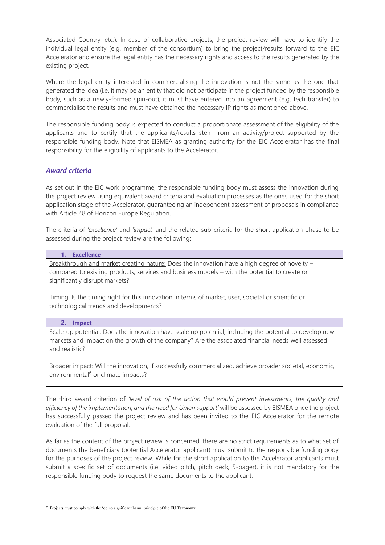Associated Country, etc.). In case of collaborative projects, the project review will have to identify the individual legal entity (e.g. member of the consortium) to bring the project/results forward to the EIC Accelerator and ensure the legal entity has the necessary rights and access to the results generated by the existing project.

Where the legal entity interested in commercialising the innovation is not the same as the one that generated the idea (i.e. it may be an entity that did not participate in the project funded by the responsible body, such as a newly-formed spin-out), it must have entered into an agreement (e.g. tech transfer) to commercialise the results and must have obtained the necessary IP rights as mentioned above.

The responsible funding body is expected to conduct a proportionate assessment of the eligibility of the applicants and to certify that the applicants/results stem from an activity/project supported by the responsible funding body. Note that EISMEA as granting authority for the EIC Accelerator has the final responsibility for the eligibility of applicants to the Accelerator.

### *Award criteria*

As set out in the EIC work programme, the responsible funding body must assess the innovation during the project review using equivalent award criteria and evaluation processes as the ones used for the short application stage of the Accelerator, guaranteeing an independent assessment of proposals in compliance with Article 48 of Horizon Europe Regulation.

The criteria of *'excellence'* and *'impact'* and the related sub-criteria for the short application phase to be assessed during the project review are the following:

#### **1. Excellence**

Breakthrough and market creating nature: Does the innovation have a high degree of novelty compared to existing products, services and business models – with the potential to create or significantly disrupt markets?

Timing: Is the timing right for this innovation in terms of market, user, societal or scientific or technological trends and developments?

#### **2. Impact**

Scale-up potential: Does the innovation have scale up potential, including the potential to develop new markets and impact on the growth of the company? Are the associated financial needs well assessed and realistic?

Broader impact: Will the innovation, if successfully commercialized, achieve broader societal, economic, environmental<sup>6</sup> or climate impacts?

The third award criterion of *'level of risk of the action that would prevent investments, the quality and efficiency of the implementation, and the need for Union support'* will be assessed by EISMEA once the project has successfully passed the project review and has been invited to the EIC Accelerator for the remote evaluation of the full proposal.

As far as the content of the project review is concerned, there are no strict requirements as to what set of documents the beneficiary (potential Accelerator applicant) must submit to the responsible funding body for the purposes of the project review. While for the short application to the Accelerator applicants must submit a specific set of documents (i.e. video pitch, pitch deck, 5-pager), it is not mandatory for the responsible funding body to request the same documents to the applicant.

<sup>6</sup> Projects must comply with the 'do no significant harm' principle of the EU Taxonomy.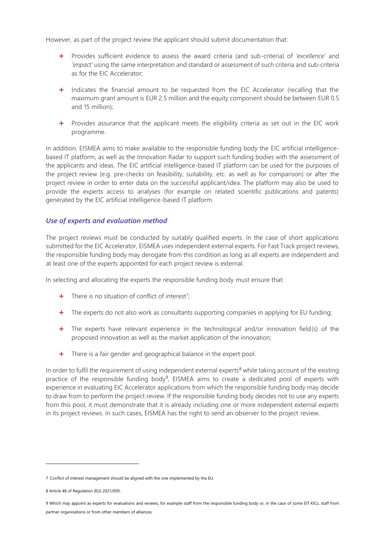However, as part of the project review the applicant should submit documentation that:

- **+** Provides sufficient evidence to assess the award criteria (and sub-criteria) of *'excellence'* and *'impact'* using the same interpretation and standard or assessment of such criteria and sub-criteria as for the EIC Accelerator;
- **+** Indicates the financial amount to be requested from the EIC Accelerator (recalling that the maximum grant amount is EUR 2.5 million and the equity component should be between EUR 0.5 and 15 million);
- **+** Provides assurance that the applicant meets the eligibility criteria as set out in the EIC work programme.

In addition, EISMEA aims to make available to the responsible funding body the EIC artificial intelligencebased IT platform, as well as the Innovation Radar to support such funding bodies with the assessment of the applicants and ideas. The EIC artificial intelligence-based IT platform can be used for the purposes of the project review (e.g. pre-checks on feasibility, suitability, etc. as well as for comparison) or after the project review in order to enter data on the successful applicant/idea. The platform may also be used to provide the experts access to analyses (for example on related scientific publications and patents) generated by the EIC artificial intelligence-based IT platform.

### *Use of experts and evaluation method*

The project reviews must be conducted by suitably qualified experts. In the case of short applications submitted for the EIC Accelerator, EISMEA uses independent external experts. For Fast Track project reviews, the responsible funding body may derogate from this condition as long as all experts are independent and at least one of the experts appointed for each project review is external.

In selecting and allocating the experts the responsible funding body must ensure that:

- **+** There is no situation of conflict of interest<sup>7</sup>;
- **+** The experts do not also work as consultants supporting companies in applying for EU funding;
- **+** The experts have relevant experience in the technological and/or innovation field(s) of the proposed innovation as well as the market application of the innovation;
- **+** There is a fair gender and geographical balance in the expert pool.

In order to fulfil the requirement of using independent external experts $\delta$  while taking account of the existing practice of the responsible funding body<sup>9</sup>, EISMEA aims to create a dedicated pool of experts with experience in evaluating EIC Accelerator applications from which the responsible funding body may decide to draw from to perform the project review. If the responsible funding body decides not to use any experts from this pool, it must demonstrate that it is already including one or more independent external experts in its project reviews. In such cases, EISMEA has the right to send an observer to the project review.

 $\overline{a}$ 

<sup>7</sup> Conflict of interest management should be aligned with the one implemented by the EU.

<sup>8</sup> Article 48 of Regulation (EU) 2021/695.

<sup>9</sup> Which may appoint as experts for evaluations and reviews, for example staff from the responsible funding body or, in the case of some EIT KICs, staff from partner organisations or from other members of alliances.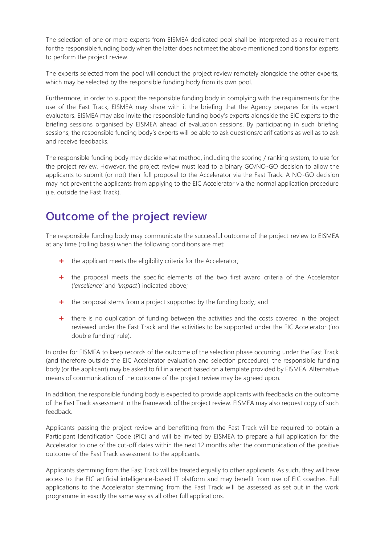The selection of one or more experts from EISMEA dedicated pool shall be interpreted as a requirement for the responsible funding body when the latter does not meet the above mentioned conditions for experts to perform the project review.

The experts selected from the pool will conduct the project review remotely alongside the other experts, which may be selected by the responsible funding body from its own pool.

Furthermore, in order to support the responsible funding body in complying with the requirements for the use of the Fast Track, EISMEA may share with it the briefing that the Agency prepares for its expert evaluators. EISMEA may also invite the responsible funding body's experts alongside the EIC experts to the briefing sessions organised by EISMEA ahead of evaluation sessions. By participating in such briefing sessions, the responsible funding body's experts will be able to ask questions/clarifications as well as to ask and receive feedbacks.

The responsible funding body may decide what method, including the scoring / ranking system, to use for the project review. However, the project review must lead to a binary GO/NO-GO decision to allow the applicants to submit (or not) their full proposal to the Accelerator via the Fast Track. A NO-GO decision may not prevent the applicants from applying to the EIC Accelerator via the normal application procedure (i.e. outside the Fast Track).

# **Outcome of the project review**

The responsible funding body may communicate the successful outcome of the project review to EISMEA at any time (rolling basis) when the following conditions are met:

- **+** the applicant meets the eligibility criteria for the Accelerator;
- **+** the proposal meets the specific elements of the two first award criteria of the Accelerator (*'excellence'* and *'impact'*) indicated above;
- **+** the proposal stems from a project supported by the funding body; and
- **+** there is no duplication of funding between the activities and the costs covered in the project reviewed under the Fast Track and the activities to be supported under the EIC Accelerator ('no double funding' rule).

In order for EISMEA to keep records of the outcome of the selection phase occurring under the Fast Track (and therefore outside the EIC Accelerator evaluation and selection procedure), the responsible funding body (or the applicant) may be asked to fill in a report based on a template provided by EISMEA. Alternative means of communication of the outcome of the project review may be agreed upon.

In addition, the responsible funding body is expected to provide applicants with feedbacks on the outcome of the Fast Track assessment in the framework of the project review. EISMEA may also request copy of such feedback.

Applicants passing the project review and benefitting from the Fast Track will be required to obtain a Participant Identification Code (PIC) and will be invited by EISMEA to prepare a full application for the Accelerator to one of the cut-off dates within the next 12 months after the communication of the positive outcome of the Fast Track assessment to the applicants.

Applicants stemming from the Fast Track will be treated equally to other applicants. As such, they will have access to the EIC artificial intelligence-based IT platform and may benefit from use of EIC coaches. Full applications to the Accelerator stemming from the Fast Track will be assessed as set out in the work programme in exactly the same way as all other full applications.